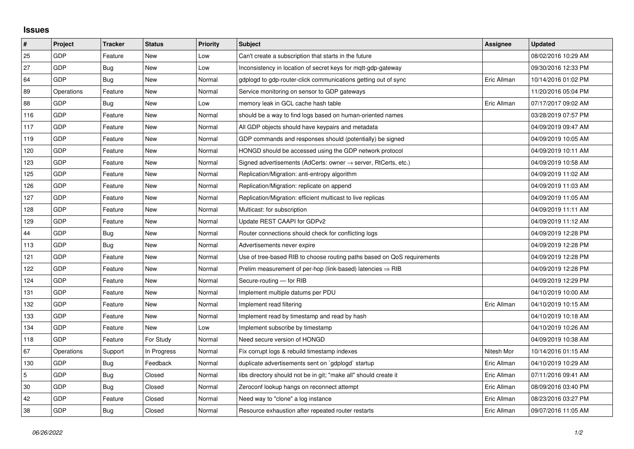## **Issues**

| #          | Project    | <b>Tracker</b> | <b>Status</b> | <b>Priority</b> | <b>Subject</b>                                                             | Assignee    | <b>Updated</b>      |
|------------|------------|----------------|---------------|-----------------|----------------------------------------------------------------------------|-------------|---------------------|
| 25         | GDP        | Feature        | <b>New</b>    | Low             | Can't create a subscription that starts in the future                      |             | 08/02/2016 10:29 AM |
| 27         | GDP        | Bug            | New           | Low             | Inconsistency in location of secret keys for mqtt-gdp-gateway              |             | 09/30/2016 12:33 PM |
| 64         | GDP        | Bug            | New           | Normal          | gdplogd to gdp-router-click communications getting out of sync             | Eric Allman | 10/14/2016 01:02 PM |
| 89         | Operations | Feature        | <b>New</b>    | Normal          | Service monitoring on sensor to GDP gateways                               |             | 11/20/2016 05:04 PM |
| 88         | GDP        | <b>Bug</b>     | New           | Low             | memory leak in GCL cache hash table                                        | Eric Allman | 07/17/2017 09:02 AM |
| 116        | GDP        | Feature        | New           | Normal          | should be a way to find logs based on human-oriented names                 |             | 03/28/2019 07:57 PM |
| 117        | GDP        | Feature        | <b>New</b>    | Normal          | All GDP objects should have keypairs and metadata                          |             | 04/09/2019 09:47 AM |
| 119        | GDP        | Feature        | New           | Normal          | GDP commands and responses should (potentially) be signed                  |             | 04/09/2019 10:05 AM |
| 120        | GDP        | Feature        | <b>New</b>    | Normal          | HONGD should be accessed using the GDP network protocol                    |             | 04/09/2019 10:11 AM |
| 123        | GDP        | Feature        | New           | Normal          | Signed advertisements (AdCerts: owner $\rightarrow$ server, RtCerts, etc.) |             | 04/09/2019 10:58 AM |
| 125        | GDP        | Feature        | New           | Normal          | Replication/Migration: anti-entropy algorithm                              |             | 04/09/2019 11:02 AM |
| 126        | GDP        | Feature        | <b>New</b>    | Normal          | Replication/Migration: replicate on append                                 |             | 04/09/2019 11:03 AM |
| 127        | GDP        | Feature        | New           | Normal          | Replication/Migration: efficient multicast to live replicas                |             | 04/09/2019 11:05 AM |
| 128        | GDP        | Feature        | New           | Normal          | Multicast: for subscription                                                |             | 04/09/2019 11:11 AM |
| 129        | GDP        | Feature        | <b>New</b>    | Normal          | Update REST CAAPI for GDPv2                                                |             | 04/09/2019 11:12 AM |
| 44         | GDP        | Bug            | New           | Normal          | Router connections should check for conflicting logs                       |             | 04/09/2019 12:28 PM |
| 113        | GDP        | Bug            | New           | Normal          | Advertisements never expire                                                |             | 04/09/2019 12:28 PM |
| 121        | GDP        | Feature        | New           | Normal          | Use of tree-based RIB to choose routing paths based on QoS requirements    |             | 04/09/2019 12:28 PM |
| 122        | GDP        | Feature        | New           | Normal          | Prelim measurement of per-hop (link-based) latencies $\Rightarrow$ RIB     |             | 04/09/2019 12:28 PM |
| 124        | GDP        | Feature        | New           | Normal          | Secure-routing - for RIB                                                   |             | 04/09/2019 12:29 PM |
| 131        | GDP        | Feature        | New           | Normal          | Implement multiple datums per PDU                                          |             | 04/10/2019 10:00 AM |
| 132        | GDP        | Feature        | New           | Normal          | Implement read filtering                                                   | Eric Allman | 04/10/2019 10:15 AM |
| 133        | GDP        | Feature        | <b>New</b>    | Normal          | Implement read by timestamp and read by hash                               |             | 04/10/2019 10:18 AM |
| 134        | GDP        | Feature        | New           | Low             | Implement subscribe by timestamp                                           |             | 04/10/2019 10:26 AM |
| 118        | GDP        | Feature        | For Study     | Normal          | Need secure version of HONGD                                               |             | 04/09/2019 10:38 AM |
| 67         | Operations | Support        | In Progress   | Normal          | Fix corrupt logs & rebuild timestamp indexes                               | Nitesh Mor  | 10/14/2016 01:15 AM |
| 130        | GDP        | Bug            | Feedback      | Normal          | duplicate advertisements sent on `gdplogd` startup                         | Eric Allman | 04/10/2019 10:29 AM |
| $\sqrt{5}$ | GDP        | <b>Bug</b>     | Closed        | Normal          | libs directory should not be in git; "make all" should create it           | Eric Allman | 07/11/2016 09:41 AM |
| 30         | GDP        | Bug            | Closed        | Normal          | Zeroconf lookup hangs on reconnect attempt                                 | Eric Allman | 08/09/2016 03:40 PM |
| 42         | GDP        | Feature        | Closed        | Normal          | Need way to "clone" a log instance                                         | Eric Allman | 08/23/2016 03:27 PM |
| 38         | GDP        | Bug            | Closed        | Normal          | Resource exhaustion after repeated router restarts                         | Eric Allman | 09/07/2016 11:05 AM |